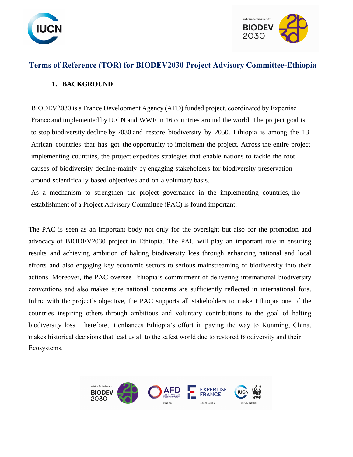



# **Terms of Reference (TOR) for BIODEV2030 Project Advisory Committee-Ethiopia**

# **1. BACKGROUND**

BIODEV2030 is a France Development Agency (AFD) funded project, coordinated by Expertise France and implemented by IUCN and WWF in 16 countries around the world. The project goal is to stop biodiversity decline by 2030 and restore biodiversity by 2050. Ethiopia is among the 13 African countries that has got the opportunity to implement the project. Across the entire project implementing countries, the project expedites strategies that enable nations to tackle the root causes of biodiversity decline-mainly by engaging stakeholders for biodiversity preservation around scientifically based objectives and on a voluntary basis.

As a mechanism to strengthen the project governance in the implementing countries, the establishment of a Project Advisory Committee (PAC) is found important.

The PAC is seen as an important body not only for the oversight but also for the promotion and advocacy of BIODEV2030 project in Ethiopia. The PAC will play an important role in ensuring results and achieving ambition of halting biodiversity loss through enhancing national and local efforts and also engaging key economic sectors to serious mainstreaming of biodiversity into their actions. Moreover, the PAC oversee Ethiopia's commitment of delivering international biodiversity conventions and also makes sure national concerns are sufficiently reflected in international fora. Inline with the project's objective, the PAC supports all stakeholders to make Ethiopia one of the countries inspiring others through ambitious and voluntary contributions to the goal of halting biodiversity loss. Therefore, it enhances Ethiopia's effort in paving the way to Kunming, China, makes historical decisions that lead us all to the safest world due to restored Biodiversity and their Ecosystems.

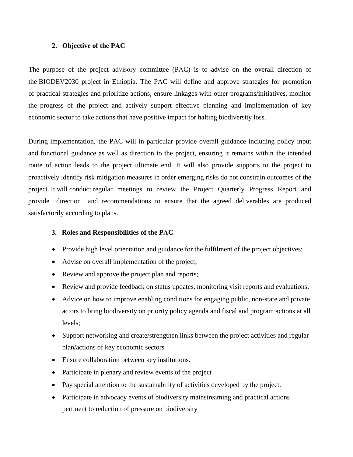#### **2. Objective of the PAC**

The purpose of the project advisory committee (PAC) is to advise on the overall direction of the BIODEV2030 project in Ethiopia. The PAC will define and approve strategies for promotion of practical strategies and prioritize actions, ensure linkages with other programs/initiatives, monitor the progress of the project and actively support effective planning and implementation of key economic sector to take actions that have positive impact for halting biodiversity loss.

During implementation, the PAC will in particular provide overall guidance including policy input and functional guidance as well as direction to the project, ensuring it remains within the intended route of action leads to the project ultimate end. It will also provide supports to the project to proactively identify risk mitigation measures in order emerging risks do not constrain outcomes of the project. It will conduct regular meetings to review the Project Quarterly Progress Report and provide direction and recommendations to ensure that the agreed deliverables are produced satisfactorily according to plans.

#### **3. Roles and Responsibilities of the PAC**

- Provide high level orientation and guidance for the fulfilment of the project objectives;
- Advise on overall implementation of the project;
- Review and approve the project plan and reports;
- Review and provide feedback on status updates, monitoring visit reports and evaluations;
- Advice on how to improve enabling conditions for engaging public, non-state and private actors to bring biodiversity on priority policy agenda and fiscal and program actions at all levels;
- Support networking and create/strengthen links between the project activities and regular plan/actions of key economic sectors
- Ensure collaboration between key institutions.
- Participate in plenary and review events of the project
- Pay special attention to the sustainability of activities developed by the project.
- Participate in advocacy events of biodiversity mainstreaming and practical actions pertinent to reduction of pressure on biodiversity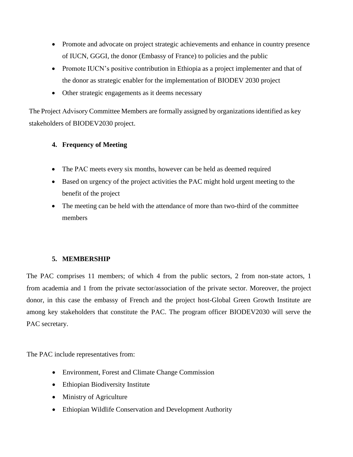- Promote and advocate on project strategic achievements and enhance in country presence of IUCN, GGGI, the donor (Embassy of France) to policies and the public
- Promote IUCN's positive contribution in Ethiopia as a project implementer and that of the donor as strategic enabler for the implementation of BIODEV 2030 project
- Other strategic engagements as it deems necessary

The Project Advisory Committee Members are formally assigned by organizations identified as key stakeholders of BIODEV2030 project.

## **4. Frequency of Meeting**

- The PAC meets every six months, however can be held as deemed required
- Based on urgency of the project activities the PAC might hold urgent meeting to the benefit of the project
- The meeting can be held with the attendance of more than two-third of the committee members

### **5. MEMBERSHIP**

The PAC comprises 11 members; of which 4 from the public sectors, 2 from non-state actors, 1 from academia and 1 from the private sector/association of the private sector. Moreover, the project donor, in this case the embassy of French and the project host-Global Green Growth Institute are among key stakeholders that constitute the PAC. The program officer BIODEV2030 will serve the PAC secretary.

The PAC include representatives from:

- Environment, Forest and Climate Change Commission
- Ethiopian Biodiversity Institute
- Ministry of Agriculture
- Ethiopian Wildlife Conservation and Development Authority